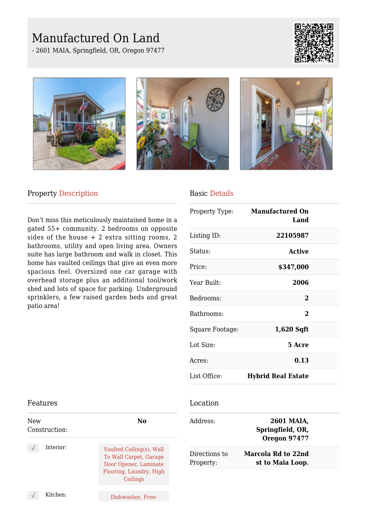# Manufactured On Land

- 2601 MAIA, Springfield, OR, Oregon 97477









### Property Description

Don't miss this meticulously maintained home in a gated 55+ community. 2 bedrooms on opposite sides of the house + 2 extra sitting rooms, 2 bathrooms, utility and open living area. Owners suite has large bathroom and walk in closet. This home has vaulted ceilings that give an even more spacious feel. Oversized one car garage with overhead storage plus an additional tool/work shed and lots of space for parking. Underground sprinklers, a few raised garden beds and great patio area!

#### Basic Details

| Property Type:  | <b>Manufactured On</b><br>Land |  |
|-----------------|--------------------------------|--|
| Listing ID:     | 22105987                       |  |
| Status:         | <b>Active</b>                  |  |
| Price:          | \$347,000                      |  |
| Year Built:     | 2006                           |  |
| Bedrooms:       | 2                              |  |
| Bathrooms:      | $\mathbf{2}$                   |  |
| Square Footage: | $1,620$ Sqft                   |  |
| Lot Size:       | 5 Acre                         |  |
| Acres:          | 0.13                           |  |
| List Office:    | <b>Hybrid Real Estate</b>      |  |

#### Location

| Address:      | 2601 MAIA,<br>Springfield, OR,<br><b>Oregon 97477</b> |
|---------------|-------------------------------------------------------|
| Directions to | Marcola Rd to 22nd                                    |
| Property:     | st to Maia Loop.                                      |

#### Features

| New<br>Construction: | No                                                                                                                 |
|----------------------|--------------------------------------------------------------------------------------------------------------------|
| Interior:            | Vaulted Ceiling(s), Wall<br>To Wall Carpet, Garage<br>Door Opener, Laminate<br>Flooring, Laundry, High<br>Ceilings |
| Kitchen:             | Dishwasher, Free-                                                                                                  |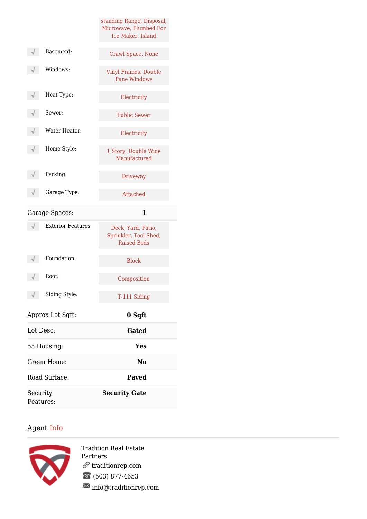|                           | standing Range, Disposal,<br>Microwave, Plumbed For<br>Ice Maker, Island |
|---------------------------|--------------------------------------------------------------------------|
| Basement:                 | Crawl Space, None                                                        |
| Windows:                  | <b>Vinyl Frames, Double</b><br><b>Pane Windows</b>                       |
| Heat Type:                | Electricity                                                              |
| Sewer:                    | <b>Public Sewer</b>                                                      |
| Water Heater:             | Electricity                                                              |
| Home Style:               | 1 Story, Double Wide<br>Manufactured                                     |
| Parking:                  | <b>Driveway</b>                                                          |
| Garage Type:              | Attached                                                                 |
| Garage Spaces:            | 1                                                                        |
| <b>Exterior Features:</b> | Deck, Yard, Patio,<br>Sprinkler, Tool Shed,<br><b>Raised Beds</b>        |
| Foundation:               | <b>Block</b>                                                             |
| Roof:                     | Composition                                                              |
| Siding Style:             | T-111 Siding                                                             |
| Approx Lot Sqft:          | 0 Sqft                                                                   |
| Lot Desc:                 | Gated                                                                    |
| 55 Housing:               | <b>Yes</b>                                                               |
| Green Home:               | N <sub>0</sub>                                                           |
| Road Surface:             | <b>Paved</b>                                                             |
| Security<br>Features:     | <b>Security Gate</b>                                                     |

## Agent Info



Tradition Real Estate Partners traditionrep.com (503) 877-4653  $\blacksquare$ info@traditionrep.com